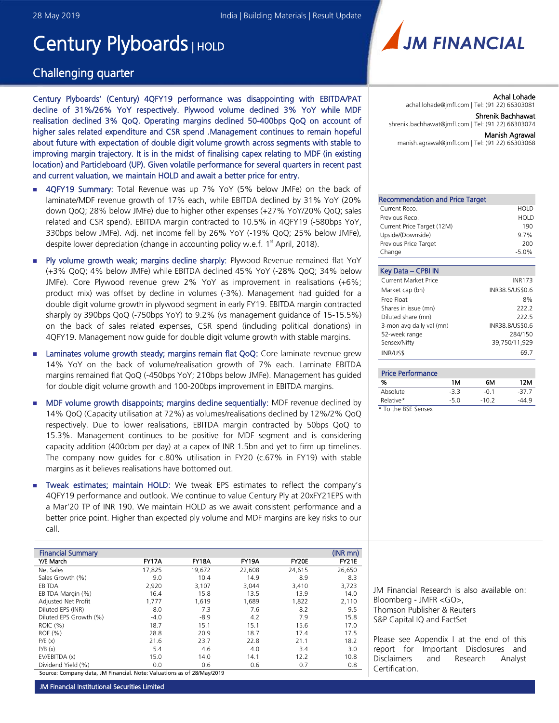# Century Plyboards | HOLD

# Challenging quarter

Century Plyboards' (Century) 4QFY19 performance was disappointing with EBITDA/PAT decline of 31%/26% YoY respectively. Plywood volume declined 3% YoY while MDF realisation declined 3% QoQ. Operating margins declined 50-400bps QoQ on account of higher sales related expenditure and CSR spend .Management continues to remain hopeful about future with expectation of double digit volume growth across segments with stable to improving margin trajectory. It is in the midst of finalising capex relating to MDF (in existing location) and Particleboard (UP). Given volatile performance for several quarters in recent past and current valuation, we maintain HOLD and await a better price for entry.

- **4QFY19 Summary:** Total Revenue was up 7% YoY (5% below JMFe) on the back of laminate/MDF revenue growth of 17% each, while EBITDA declined by 31% YoY (20% down QoQ; 28% below JMFe) due to higher other expenses (+27% YoY/20% QoQ; sales related and CSR spend). EBITDA margin contracted to 10.5% in 4QFY19 (-580bps YoY, 330bps below JMFe). Adj. net income fell by 26% YoY (-19% QoQ; 25% below JMFe), despite lower depreciation (change in accounting policy w.e.f. 1<sup>st</sup> April, 2018).
- Ply volume growth weak; margins decline sharply: Plywood Revenue remained flat YoY (+3% QoQ; 4% below JMFe) while EBITDA declined 45% YoY (-28% QoQ; 34% below JMFe). Core Plywood revenue grew 2% YoY as improvement in realisations (+6%; product mix) was offset by decline in volumes (-3%). Management had guided for a double digit volume growth in plywood segment in early FY19. EBITDA margin contracted sharply by 390bps QoQ (-750bps YoY) to 9.2% (vs management guidance of 15-15.5%) on the back of sales related expenses, CSR spend (including political donations) in 4QFY19. Management now guide for double digit volume growth with stable margins.
- Laminates volume growth steady; margins remain flat QoQ: Core laminate revenue grew 14% YoY on the back of volume/realisation growth of 7% each. Laminate EBITDA margins remained flat QoQ (-450bps YoY; 210bps below JMFe). Management has guided for double digit volume growth and 100-200bps improvement in EBITDA margins.
- **MDF** volume growth disappoints; margins decline sequentially: MDF revenue declined by 14% QoQ (Capacity utilisation at 72%) as volumes/realisations declined by 12%/2% QoQ respectively. Due to lower realisations, EBITDA margin contracted by 50bps QoQ to 15.3%. Management continues to be positive for MDF segment and is considering capacity addition (400cbm per day) at a capex of INR 1.5bn and yet to firm up timelines. The company now guides for c.80% utilisation in FY20 (c.67% in FY19) with stable margins as it believes realisations have bottomed out.
- **Tweak estimates; maintain HOLD:** We tweak EPS estimates to reflect the company's 4QFY19 performance and outlook. We continue to value Century Ply at 20xFY21EPS with a Mar'20 TP of INR 190. We maintain HOLD as we await consistent performance and a better price point. Higher than expected ply volume and MDF margins are key risks to our call.

| <b>Financial Summary</b> |        |              |              |        | $(INR$ mn $)$ |
|--------------------------|--------|--------------|--------------|--------|---------------|
| Y/E March                | FY17A  | <b>FY18A</b> | <b>FY19A</b> | FY20E  | <b>FY21E</b>  |
| Net Sales                | 17,825 | 19,672       | 22.608       | 24,615 | 26.650        |
| Sales Growth (%)         | 9.0    | 10.4         | 14.9         | 8.9    | 8.3           |
| EBITDA                   | 2,920  | 3,107        | 3,044        | 3,410  | 3,723         |
| EBITDA Margin (%)        | 16.4   | 15.8         | 13.5         | 13.9   | 14.0          |
| Adjusted Net Profit      | 1.777  | 1.619        | 1,689        | 1,822  | 2.110         |
| Diluted EPS (INR)        | 8.0    | 7.3          | 7.6          | 8.2    | 9.5           |
| Diluted EPS Growth (%)   | $-4.0$ | $-8.9$       | 4.2          | 7.9    | 15.8          |
| ROIC (%)                 | 18.7   | 15.1         | 15.1         | 15.6   | 17.0          |
| ROE (%)                  | 28.8   | 20.9         | 18.7         | 17.4   | 17.5          |
| P/E(x)                   | 21.6   | 23.7         | 22.8         | 21.1   | 18.2          |
| P/B(x)                   | 5.4    | 4.6          | 4.0          | 3.4    | 3.0           |
| EV/EBITDA (x)            | 15.0   | 14.0         | 14.1         | 12.2   | 10.8          |
| Dividend Yield (%)       | 0.0    | 0.6          | 0.6          | 0.7    | 0.8           |

Source: Company data, JM Financial. Note: Valuations as of 28/May/2019



Achal Lohade achal.lohade@jmfl.com | Tel: (91 22) 66303081 Shrenik Bachhawat shrenik.bachhawat@jmfl.com | Tel: (91 22) 66303074

Manish Agrawal

manish.agrawal@jmfl.com | Tel: (91 22) 66303068

| <b>Recommendation and Price Target</b> |         |
|----------------------------------------|---------|
| Current Reco.                          | HOLD    |
| Previous Reco.                         | HOLD    |
| Current Price Target (12M)             | 190     |
| Upside/(Downside)                      | $9.7\%$ |
| Previous Price Target                  | 200     |
| Change                                 | $-5.0%$ |
|                                        |         |

| Key Data - CPBI IN          |                 |
|-----------------------------|-----------------|
| <b>Current Market Price</b> | <b>INR173</b>   |
| Market cap (bn)             | INR38.5/US\$0.6 |
| Free Float                  | 8%              |
| Shares in issue (mn)        | 222.2           |
| Diluted share (mn)          | 222.5           |
| 3-mon avg daily val (mn)    | INR38.8/US\$0.6 |
| 52-week range               | 284/150         |
| Sensex/Nifty                | 39,750/11,929   |
| <b>INR/US\$</b>             | 69 7            |

| <b>Price Performance</b> |     |         |        |
|--------------------------|-----|---------|--------|
| %                        | 1M  | 6М      | 12M    |
| Absolute                 | -33 | -0.1    | $-377$ |
| Relative*                | -50 | $-10.2$ | .44 9  |
| * To the BSE Sensex      |     |         |        |

JM Financial Research is also available on: Bloomberg - JMFR <GO>, Thomson Publisher & Reuters

S&P Capital IQ and FactSet

Please see Appendix I at the end of this report for Important Disclosures and Disclaimers and Research Analyst Certification.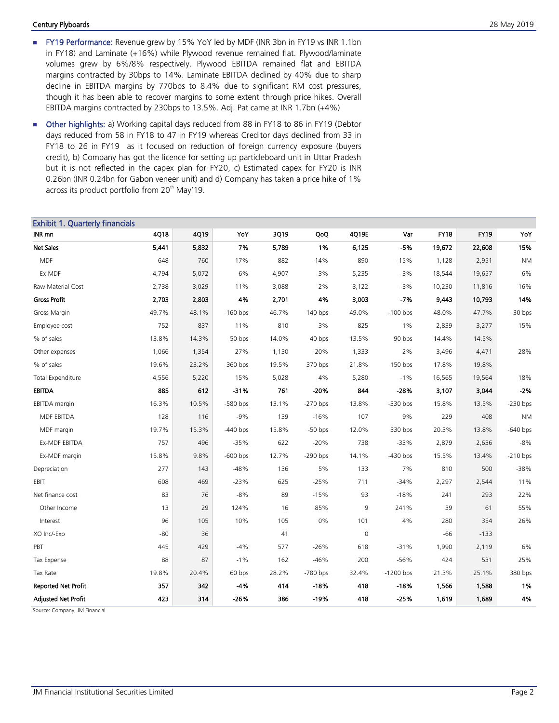#### **Century Plyboards** 28 May 2019

- **FY19 Performance:** Revenue grew by 15% YoY led by MDF (INR 3bn in FY19 vs INR 1.1bn in FY18) and Laminate (+16%) while Plywood revenue remained flat. Plywood/laminate volumes grew by 6%/8% respectively. Plywood EBITDA remained flat and EBITDA margins contracted by 30bps to 14%. Laminate EBITDA declined by 40% due to sharp decline in EBITDA margins by 770bps to 8.4% due to significant RM cost pressures, though it has been able to recover margins to some extent through price hikes. Overall EBITDA margins contracted by 230bps to 13.5%. Adj. Pat came at INR 1.7bn (+4%)
- Other highlights: a) Working capital days reduced from 88 in FY18 to 86 in FY19 (Debtor days reduced from 58 in FY18 to 47 in FY19 whereas Creditor days declined from 33 in FY18 to 26 in FY19 as it focused on reduction of foreign currency exposure (buyers credit), b) Company has got the licence for setting up particleboard unit in Uttar Pradesh but it is not reflected in the capex plan for FY20, c) Estimated capex for FY20 is INR 0.26bn (INR 0.24bn for Gabon veneer unit) and d) Company has taken a price hike of 1% across its product portfolio from  $20<sup>th</sup>$  May'19.

| <b>Exhibit 1. Quarterly financials</b> |       |       |            |       |            |             |            |             |             |            |
|----------------------------------------|-------|-------|------------|-------|------------|-------------|------------|-------------|-------------|------------|
| INR mn                                 | 4Q18  | 4Q19  | YoY        | 3Q19  | QoQ        | 4Q19E       | Var        | <b>FY18</b> | <b>FY19</b> | YoY        |
| <b>Net Sales</b>                       | 5,441 | 5,832 | 7%         | 5,789 | 1%         | 6,125       | $-5%$      | 19,672      | 22,608      | 15%        |
| <b>MDF</b>                             | 648   | 760   | 17%        | 882   | $-14%$     | 890         | $-15%$     | 1,128       | 2,951       | <b>NM</b>  |
| Ex-MDF                                 | 4,794 | 5,072 | 6%         | 4,907 | 3%         | 5,235       | $-3%$      | 18,544      | 19,657      | 6%         |
| Raw Material Cost                      | 2,738 | 3,029 | 11%        | 3,088 | $-2%$      | 3,122       | $-3%$      | 10,230      | 11,816      | 16%        |
| <b>Gross Profit</b>                    | 2,703 | 2,803 | 4%         | 2,701 | 4%         | 3,003       | $-7%$      | 9,443       | 10,793      | 14%        |
| Gross Margin                           | 49.7% | 48.1% | $-160$ bps | 46.7% | 140 bps    | 49.0%       | $-100$ bps | 48.0%       | 47.7%       | $-30$ bps  |
| Employee cost                          | 752   | 837   | 11%        | 810   | 3%         | 825         | $1\%$      | 2,839       | 3,277       | 15%        |
| % of sales                             | 13.8% | 14.3% | 50 bps     | 14.0% | 40 bps     | 13.5%       | 90 bps     | 14.4%       | 14.5%       |            |
| Other expenses                         | 1,066 | 1,354 | 27%        | 1,130 | 20%        | 1,333       | 2%         | 3,496       | 4,471       | 28%        |
| % of sales                             | 19.6% | 23.2% | 360 bps    | 19.5% | 370 bps    | 21.8%       | 150 bps    | 17.8%       | 19.8%       |            |
| Total Expenditure                      | 4,556 | 5,220 | 15%        | 5,028 | 4%         | 5,280       | $-1%$      | 16,565      | 19,564      | 18%        |
| <b>EBITDA</b>                          | 885   | 612   | $-31%$     | 761   | $-20%$     | 844         | $-28%$     | 3,107       | 3,044       | $-2%$      |
| EBITDA margin                          | 16.3% | 10.5% | $-580$ bps | 13.1% | $-270$ bps | 13.8%       | $-330$ bps | 15.8%       | 13.5%       | $-230$ bps |
| MDF EBITDA                             | 128   | 116   | $-9%$      | 139   | $-16%$     | 107         | 9%         | 229         | 408         | <b>NM</b>  |
| MDF margin                             | 19.7% | 15.3% | $-440$ bps | 15.8% | $-50$ bps  | 12.0%       | 330 bps    | 20.3%       | 13.8%       | $-640$ bps |
| Ex-MDF EBITDA                          | 757   | 496   | $-35%$     | 622   | $-20%$     | 738         | $-33%$     | 2,879       | 2,636       | $-8%$      |
| Ex-MDF margin                          | 15.8% | 9.8%  | $-600$ bps | 12.7% | $-290$ bps | 14.1%       | $-430$ bps | 15.5%       | 13.4%       | $-210$ bps |
| Depreciation                           | 277   | 143   | $-48%$     | 136   | 5%         | 133         | 7%         | 810         | 500         | $-38%$     |
| EBIT                                   | 608   | 469   | $-23%$     | 625   | $-25%$     | 711         | $-34%$     | 2,297       | 2,544       | 11%        |
| Net finance cost                       | 83    | 76    | $-8%$      | 89    | $-15%$     | 93          | $-18%$     | 241         | 293         | 22%        |
| Other Income                           | 13    | 29    | 124%       | 16    | 85%        | 9           | 241%       | 39          | 61          | 55%        |
| Interest                               | 96    | 105   | 10%        | 105   | 0%         | 101         | 4%         | 280         | 354         | 26%        |
| XO Inc/-Exp                            | $-80$ | 36    |            | 41    |            | $\mathbf 0$ |            | -66         | $-133$      |            |
| PBT                                    | 445   | 429   | $-4%$      | 577   | $-26%$     | 618         | $-31%$     | 1,990       | 2,119       | 6%         |
| <b>Tax Expense</b>                     | 88    | 87    | $-1%$      | 162   | $-46%$     | 200         | $-56%$     | 424         | 531         | 25%        |
| Tax Rate                               | 19.8% | 20.4% | 60 bps     | 28.2% | -780 bps   | 32.4%       | -1200 bps  | 21.3%       | 25.1%       | 380 bps    |
| <b>Reported Net Profit</b>             | 357   | 342   | -4%        | 414   | $-18%$     | 418         | -18%       | 1,566       | 1,588       | 1%         |
| <b>Adjusted Net Profit</b>             | 423   | 314   | $-26%$     | 386   | -19%       | 418         | $-25%$     | 1,619       | 1,689       | 4%         |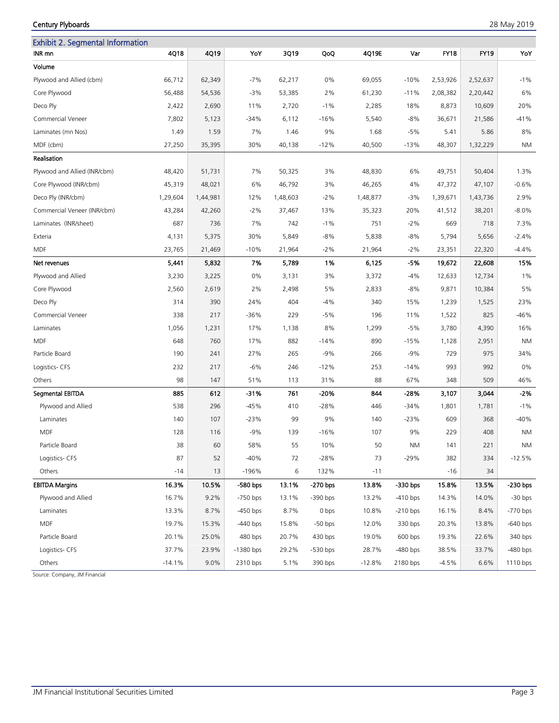# Century Plyboards 28 May 2019

| <b>Exhibit 2. Segmental Information</b> |          |          |             |          |            |          |            |             |          |            |
|-----------------------------------------|----------|----------|-------------|----------|------------|----------|------------|-------------|----------|------------|
| INR mn                                  | 4Q18     | 4Q19     | YoY         | 3Q19     | QoQ        | 4Q19E    | Var        | <b>FY18</b> | FY19     | YoY        |
| Volume                                  |          |          |             |          |            |          |            |             |          |            |
| Plywood and Allied (cbm)                | 66,712   | 62,349   | $-7%$       | 62,217   | 0%         | 69,055   | $-10%$     | 2,53,926    | 2,52,637 | $-1%$      |
| Core Plywood                            | 56,488   | 54,536   | $-3%$       | 53,385   | 2%         | 61,230   | $-11%$     | 2,08,382    | 2,20,442 | 6%         |
| Deco Ply                                | 2,422    | 2,690    | 11%         | 2,720    | $-1%$      | 2,285    | 18%        | 8,873       | 10,609   | 20%        |
| Commercial Veneer                       | 7,802    | 5,123    | $-34%$      | 6,112    | $-16%$     | 5,540    | $-8%$      | 36,671      | 21,586   | $-41%$     |
| Laminates (mn Nos)                      | 1.49     | 1.59     | 7%          | 1.46     | 9%         | 1.68     | $-5%$      | 5.41        | 5.86     | 8%         |
| MDF (cbm)                               | 27,250   | 35,395   | 30%         | 40,138   | $-12%$     | 40,500   | $-13%$     | 48,307      | 1,32,229 | ΝM         |
| Realisation                             |          |          |             |          |            |          |            |             |          |            |
| Plywood and Allied (INR/cbm)            | 48,420   | 51,731   | 7%          | 50,325   | 3%         | 48,830   | 6%         | 49,751      | 50,404   | 1.3%       |
| Core Plywood (INR/cbm)                  | 45,319   | 48,021   | 6%          | 46,792   | 3%         | 46,265   | 4%         | 47,372      | 47,107   | $-0.6%$    |
| Deco Ply (INR/cbm)                      | 1,29,604 | 1,44,981 | 12%         | 1,48,603 | $-2%$      | 1,48,877 | -3%        | 1,39,671    | 1,43,736 | 2.9%       |
| Commercial Veneer (INR/cbm)             | 43,284   | 42,260   | $-2\%$      | 37,467   | 13%        | 35,323   | 20%        | 41,512      | 38,201   | $-8.0\%$   |
| Laminates (INR/sheet)                   | 687      | 736      | 7%          | 742      | $-1%$      | 751      | $-2%$      | 669         | 718      | 7.3%       |
| Exteria                                 | 4,131    | 5,375    | 30%         | 5,849    | $-8%$      | 5,838    | -8%        | 5,794       | 5,656    | $-2.4%$    |
| <b>MDF</b>                              | 23,765   | 21,469   | $-10%$      | 21,964   | $-2%$      | 21,964   | $-2\%$     | 23,351      | 22,320   | $-4.4%$    |
| Net revenues                            | 5,441    | 5,832    | 7%          | 5,789    | 1%         | 6,125    | -5%        | 19,672      | 22,608   | 15%        |
| Plywood and Allied                      | 3,230    | 3,225    | 0%          | 3,131    | 3%         | 3,372    | $-4%$      | 12,633      | 12,734   | 1%         |
| Core Plywood                            | 2,560    | 2,619    | 2%          | 2,498    | 5%         | 2,833    | $-8%$      | 9,871       | 10,384   | 5%         |
| Deco Ply                                | 314      | 390      | 24%         | 404      | $-4%$      | 340      | 15%        | 1,239       | 1,525    | 23%        |
| Commercial Veneer                       | 338      | 217      | $-36%$      | 229      | $-5%$      | 196      | 11%        | 1,522       | 825      | $-46%$     |
| Laminates                               | 1,056    | 1,231    | 17%         | 1,138    | 8%         | 1,299    | $-5%$      | 3,780       | 4,390    | 16%        |
| <b>MDF</b>                              | 648      | 760      | 17%         | 882      | $-14%$     | 890      | $-15%$     | 1,128       | 2,951    | <b>NM</b>  |
| Particle Board                          | 190      | 241      | 27%         | 265      | $-9%$      | 266      | $-9%$      | 729         | 975      | 34%        |
| Logistics- CFS                          | 232      | 217      | $-6%$       | 246      | $-12%$     | 253      | $-14%$     | 993         | 992      | 0%         |
| Others                                  | 98       | 147      | 51%         | 113      | 31%        | 88       | 67%        | 348         | 509      | 46%        |
| Segmental EBITDA                        | 885      | 612      | -31%        | 761      | -20%       | 844      | -28%       | 3,107       | 3,044    | $-2%$      |
| Plywood and Allied                      | 538      | 296      | $-45%$      | 410      | $-28%$     | 446      | $-34%$     | 1,801       | 1,781    | $-1%$      |
| Laminates                               | 140      | 107      | $-23%$      | 99       | 9%         | 140      | $-23%$     | 609         | 368      | $-40%$     |
| <b>MDF</b>                              | 128      | 116      | $-9%$       | 139      | $-16%$     | 107      | 9%         | 229         | 408      | <b>NM</b>  |
| Particle Board                          | 38       | 60       | 58%         | 55       | 10%        | 50       | <b>NM</b>  | 141         | 221      | ΝM         |
| Logistics- CFS                          | 87       | 52       | $-40%$      | 72       | $-28%$     | 73       | $-29%$     | 382         | 334      | $-12.5%$   |
| Others                                  | -14      | 13       | -196%       | 6        | 132%       | $-11$    |            | -16         | 34       |            |
| <b>EBITDA Margins</b>                   | 16.3%    | 10.5%    | -580 bps    | 13.1%    | -270 bps   | 13.8%    | -330 bps   | 15.8%       | 13.5%    | -230 bps   |
| Plywood and Allied                      | 16.7%    | 9.2%     | $-750$ bps  | 13.1%    | $-390$ bps | 13.2%    | $-410$ bps | 14.3%       | 14.0%    | $-30$ bps  |
| Laminates                               | 13.3%    | 8.7%     | $-450$ bps  | 8.7%     | 0 bps      | 10.8%    | $-210$ bps | 16.1%       | 8.4%     | -770 bps   |
| <b>MDF</b>                              | 19.7%    | 15.3%    | $-440$ bps  | 15.8%    | $-50$ bps  | 12.0%    | 330 bps    | 20.3%       | 13.8%    | $-640$ bps |
| Particle Board                          | 20.1%    | 25.0%    | 480 bps     | 20.7%    | $430$ bps  | 19.0%    | 600 bps    | 19.3%       | 22.6%    | 340 bps    |
| Logistics- CFS                          | 37.7%    | 23.9%    | $-1380$ bps | 29.2%    | $-530$ bps | 28.7%    | $-480$ bps | 38.5%       | 33.7%    | $-480$ bps |
| Others                                  | $-14.1%$ | 9.0%     | 2310 bps    | 5.1%     | 390 bps    | $-12.8%$ | 2180 bps   | $-4.5%$     | 6.6%     | 1110 bps   |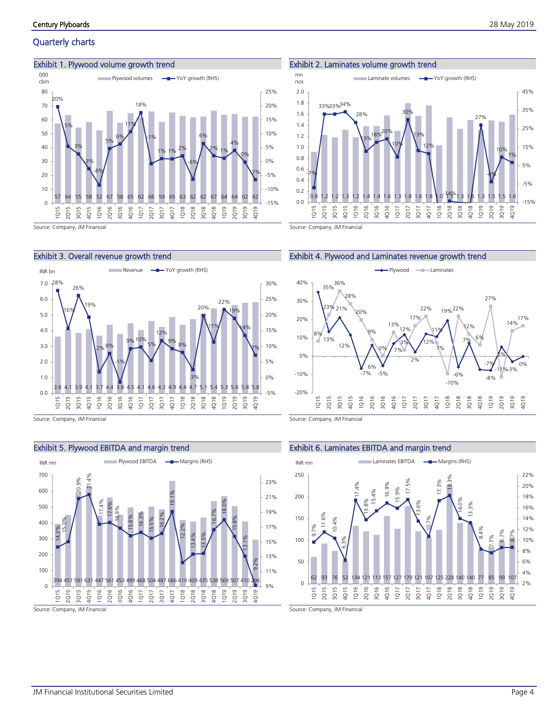# Quarterly charts

#### Exhibit 1. Plywood volume growth trend



## Exhibit 3. Overall revenue growth trend



Source: Company, JM Financial

# Exhibit 5. Plywood EBITDA and margin trend



Source: Company, JM Financial

#### Exhibit 2. Laminates volume growth trend







Source: Company, JM Financial

#### Exhibit 6. Laminates EBITDA and margin trend

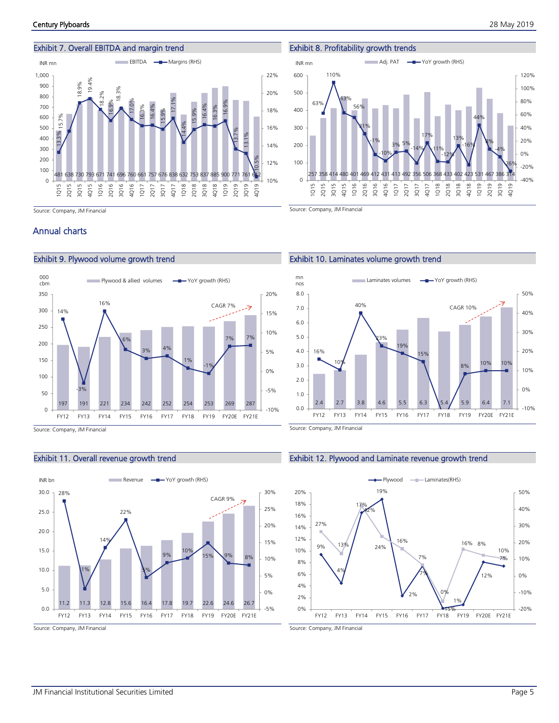

Source: Company, JM Financial

#### Exhibit 8. Profitability growth trends



Source: Company, JM Financial

# Annual charts



Source: Company, JM Financial

#### Exhibit 11. Overall revenue growth trend



Source: Company, JM Financial

# Exhibit 10. Laminates volume growth trend



Source: Company, JM Financial

#### Exhibit 12. Plywood and Laminate revenue growth trend

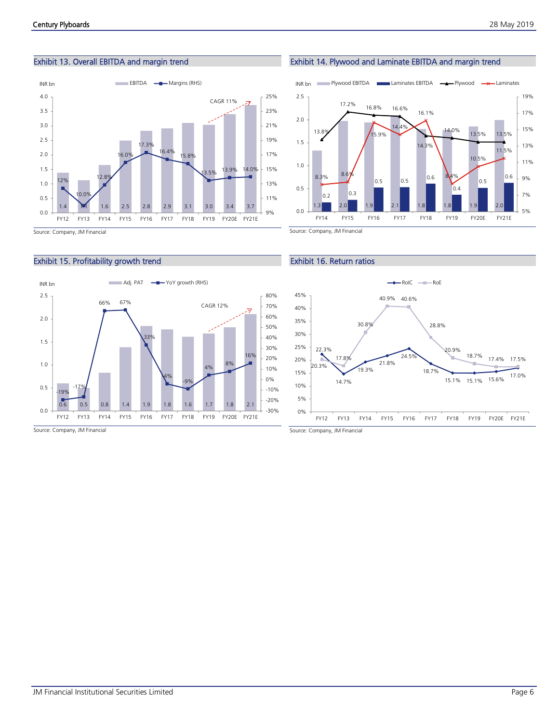# Exhibit 13. Overall EBITDA and margin trend



# Exhibit 15. Profitability growth trend



1.3 2.0 1.9 2.1 1.8 1.8 1.9 2.0  $0.2$  0.3 0.5 0.5  $0.6$  $0.4$ 0.5 0.6 13.8% 17.2% 16.8% 16.6% 14.3% 14.0% 13.5% 13.5% 8.3% 8.6% 15.9%  $14.4°$ 16.1%  $84%$ 10.5% 11.5% 5% 7% 9% 11% 13% 15% 17% 19% 0.0 0.5 1.0 1.5  $2.0$ 2.5

INR bn Plywood EBITDA Laminates EBITDA - Plywood - Laminates

FY14 FY15 FY16 FY17 FY18 FY19 FY20E FY21E

Exhibit 14. Plywood and Laminate EBITDA and margin trend

#### Exhibit 16. Return ratios



Source: Company, JM Financial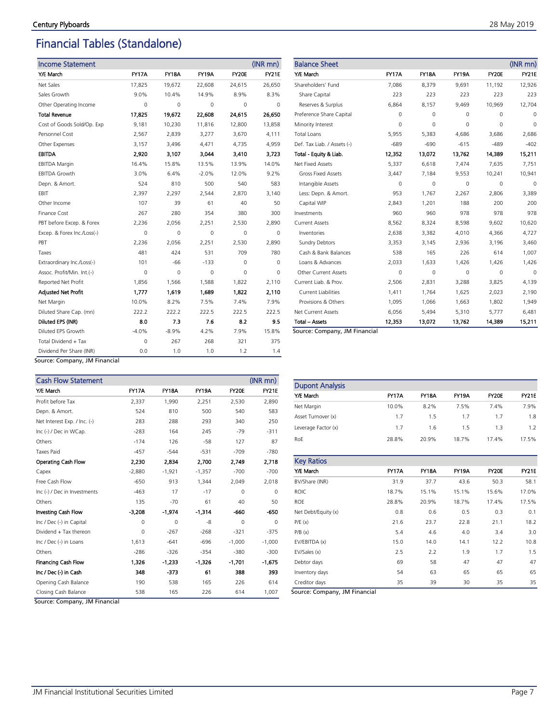# Financial Tables (Standalone)

| <b>Income Statement</b>                   |              |              |              |          | (INR mn)     |
|-------------------------------------------|--------------|--------------|--------------|----------|--------------|
| Y/E March                                 | <b>FY17A</b> | <b>FY18A</b> | <b>FY19A</b> | FY20E    | <b>FY21E</b> |
| Net Sales                                 | 17,825       | 19,672       | 22,608       | 24,615   | 26,650       |
| Sales Growth                              | 9.0%         | 10.4%        | 14.9%        | 8.9%     | 8.3%         |
| Other Operating Income                    | $\Omega$     | 0            | $\Omega$     | $\Omega$ | 0            |
| <b>Total Revenue</b>                      | 17.825       | 19.672       | 22,608       | 24.615   | 26,650       |
| Cost of Goods Sold/Op. Exp                | 9,181        | 10,230       | 11,816       | 12,800   | 13,858       |
| Personnel Cost                            | 2,567        | 2,839        | 3,277        | 3,670    | 4,111        |
| Other Expenses                            | 3,157        | 3,496        | 4,471        | 4,735    | 4,959        |
| <b>EBITDA</b>                             | 2,920        | 3,107        | 3.044        | 3,410    | 3.723        |
| <b>EBITDA Margin</b>                      | 16.4%        | 15.8%        | 13.5%        | 13.9%    | 14.0%        |
| <b>EBITDA Growth</b>                      | 3.0%         | 6.4%         | $-2.0%$      | 12.0%    | 9.2%         |
| Depn. & Amort.                            | 524          | 810          | 500          | 540      | 583          |
| EBIT                                      | 2,397        | 2,297        | 2,544        | 2,870    | 3,140        |
| Other Income                              | 107          | 39           | 61           | 40       | 50           |
| Finance Cost                              | 267          | 280          | 354          | 380      | 300          |
| PBT before Excep. & Forex                 | 2.236        | 2,056        | 2,251        | 2.530    | 2,890        |
| Excep. & Forex Inc./Loss(-)               | 0            | 0            | 0            | 0        | 0            |
| PBT                                       | 2,236        | 2,056        | 2,251        | 2,530    | 2,890        |
| Taxes                                     | 481          | 424          | 531          | 709      | 780          |
| Extraordinary Inc./Loss(-)                | 101          | $-66$        | $-133$       | 0        | 0            |
| Assoc. Profit/Min. Int.(-)                | 0            | 0            | 0            | 0        | 0            |
| Reported Net Profit                       | 1,856        | 1,566        | 1,588        | 1,822    | 2,110        |
| <b>Adjusted Net Profit</b>                | 1,777        | 1,619        | 1,689        | 1,822    | 2,110        |
| Net Margin                                | 10.0%        | 8.2%         | 7.5%         | 7.4%     | 7.9%         |
| Diluted Share Cap. (mn)                   | 222.2        | 222.2        | 222.5        | 222.5    | 222.5        |
| Diluted EPS (INR)                         | 8.0          | 7.3          | 7.6          | 8.2      | 9.5          |
| Diluted EPS Growth                        | $-4.0%$      | $-8.9%$      | 4.2%         | 7.9%     | 15.8%        |
| Total Dividend + Tax                      | 0            | 267          | 268          | 321      | 375          |
| Dividend Per Share (INR)<br><b>IBA F:</b> | 0.0          | 1.0          | 1.0          | 1.2      | 1.4          |

| <b>Balance Sheet</b>        |              |              |              |          | $(INR$ mn $)$ |
|-----------------------------|--------------|--------------|--------------|----------|---------------|
| Y/E March                   | <b>FY17A</b> | <b>FY18A</b> | <b>FY19A</b> | FY20E    | <b>FY21E</b>  |
| Shareholders' Fund          | 7,086        | 8,379        | 9,691        | 11,192   | 12,926        |
| Share Capital               | 223          | 223          | 223          | 223      | 223           |
| Reserves & Surplus          | 6,864        | 8,157        | 9,469        | 10,969   | 12,704        |
| Preference Share Capital    | 0            | 0            | $\Omega$     | $\Omega$ | $\Omega$      |
| Minority Interest           | $\Omega$     | 0            | $\Omega$     | $\Omega$ | $\Omega$      |
| <b>Total Loans</b>          | 5,955        | 5,383        | 4,686        | 3,686    | 2,686         |
| Def. Tax Liab. / Assets (-) | $-689$       | $-690$       | $-615$       | $-489$   | $-402$        |
| Total - Equity & Liab.      | 12,352       | 13,072       | 13,762       | 14.389   | 15,211        |
| Net Fixed Assets            | 5,337        | 6,618        | 7,474        | 7,635    | 7,751         |
| <b>Gross Fixed Assets</b>   | 3,447        | 7,184        | 9,553        | 10,241   | 10,941        |
| Intangible Assets           | $\Omega$     | 0            | $\Omega$     | $\Omega$ | 0             |
| Less: Depn. & Amort.        | 953          | 1,767        | 2,267        | 2,806    | 3,389         |
| Capital WIP                 | 2,843        | 1,201        | 188          | 200      | 200           |
| Investments                 | 960          | 960          | 978          | 978      | 978           |
| <b>Current Assets</b>       | 8,562        | 8,324        | 8,598        | 9,602    | 10,620        |
| Inventories                 | 2,638        | 3,382        | 4,010        | 4,366    | 4,727         |
| <b>Sundry Debtors</b>       | 3,353        | 3,145        | 2,936        | 3,196    | 3,460         |
| Cash & Bank Balances        | 538          | 165          | 226          | 614      | 1,007         |
| Loans & Advances            | 2,033        | 1,633        | 1.426        | 1.426    | 1,426         |
| <b>Other Current Assets</b> | $\Omega$     | 0            | 0            | 0        | $\Omega$      |
| Current Liab. & Prov.       | 2,506        | 2,831        | 3,288        | 3,825    | 4,139         |
| <b>Current Liabilities</b>  | 1,411        | 1,764        | 1,625        | 2,023    | 2,190         |
| Provisions & Others         | 1,095        | 1,066        | 1,663        | 1,802    | 1,949         |
| <b>Net Current Assets</b>   | 6,056        | 5,494        | 5,310        | 5,777    | 6,481         |
| <b>Total - Assets</b>       | 12,353       | 13,072       | 13,762       | 14.389   | 15,211        |

Source: Company, JM Financial

Source: Company, JM Financial

| <b>Cash Flow Statement</b>   |              |              |              |          | (INR mn)     |
|------------------------------|--------------|--------------|--------------|----------|--------------|
| Y/E March                    | <b>FY17A</b> | <b>FY18A</b> | <b>FY19A</b> | FY20E    | <b>FY21E</b> |
| Profit before Tax            | 2,337        | 1,990        | 2,251        | 2,530    | 2,890        |
| Depn. & Amort.               | 524          | 810          | 500          | 540      | 583          |
| Net Interest Exp. / Inc. (-) | 283          | 288          | 293          | 340      | 250          |
| Inc (-) / Dec in WCap.       | $-283$       | 164          | 245          | $-79$    | $-311$       |
| Others                       | $-174$       | 126          | $-58$        | 127      | 87           |
| <b>Taxes Paid</b>            | $-457$       | $-544$       | $-531$       | $-709$   | $-780$       |
| Operating Cash Flow          | 2,230        | 2,834        | 2,700        | 2.749    | 2,718        |
| Capex                        | $-2,880$     | $-1,921$     | $-1,357$     | $-700$   | $-700$       |
| Free Cash Flow               | $-650$       | 913          | 1,344        | 2,049    | 2,018        |
| Inc (-) / Dec in Investments | $-463$       | 17           | $-17$        | $\Omega$ | $\Omega$     |
| Others                       | 135          | $-70$        | 61           | 40       | 50           |
| Investing Cash Flow          | $-3,208$     | $-1,974$     | $-1,314$     | -660     | -650         |
| Inc / Dec (-) in Capital     | $\mathbf 0$  | $\Omega$     | -8           | $\Omega$ | $\Omega$     |
| Dividend + Tax thereon       | $\mathbf 0$  | $-267$       | $-268$       | $-321$   | $-375$       |
| Inc / Dec (-) in Loans       | 1,613        | $-641$       | $-696$       | $-1,000$ | $-1,000$     |
| Others                       | $-286$       | $-326$       | $-354$       | $-380$   | $-300$       |
| <b>Financing Cash Flow</b>   | 1,326        | $-1,233$     | $-1.326$     | $-1,701$ | $-1,675$     |
| Inc / Dec (-) in Cash        | 348          | $-373$       | 61           | 388      | 393          |
| Opening Cash Balance         | 190          | 538          | 165          | 226      | 614          |
| Closing Cash Balance         | 538          | 165          | 226          | 614      | 1,007        |

Dupont Analysis Y/E March FY17A FY18A FY19A FY20E FY21E Net Margin 10.0% 8.2% 7.5% 7.4% 7.9% Asset Turnover (x) 1.7 1.5 1.7 1.7 1.8 Leverage Factor (x) 1.7 1.6 1.5 1.3 1.2 RoE 28.8% 20.9% 18.7% 17.4% 17.5%

| <b>Key Ratios</b>   |              |              |              |       |              |
|---------------------|--------------|--------------|--------------|-------|--------------|
| Y/E March           | <b>FY17A</b> | <b>FY18A</b> | <b>FY19A</b> | FY20E | <b>FY21E</b> |
| BV/Share (INR)      | 31.9         | 37.7         | 43.6         | 50.3  | 58.1         |
| <b>ROIC</b>         | 18.7%        | 15.1%        | 15.1%        | 15.6% | 17.0%        |
| <b>ROE</b>          | 28.8%        | 20.9%        | 18.7%        | 17.4% | 17.5%        |
| Net Debt/Equity (x) | 0.8          | 0.6          | 0.5          | 0.3   | 0.1          |
| P/E(x)              | 21.6         | 23.7         | 22.8         | 21.1  | 18.2         |
| P/B(x)              | 5.4          | 4.6          | 4.0          | 3.4   | 3.0          |
| EV/EBITDA (x)       | 15.0         | 14.0         | 14.1         | 12.2  | 10.8         |
| EV/Sales (x)        | 2.5          | 2.2          | 1.9          | 1.7   | 1.5          |
| Debtor days         | 69           | 58           | 47           | 47    | 47           |
| Inventory days      | 54           | 63           | 65           | 65    | 65           |
| Creditor days       | 35           | 39           | 30           | 35    | 35           |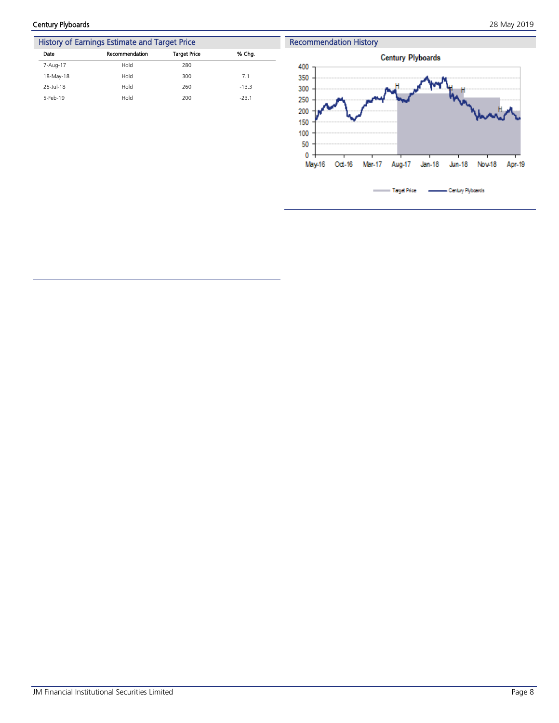Century Plyboards 28 May 2019



| History of Earnings Estimate and Target Price |                |                     |         |  |  |  |
|-----------------------------------------------|----------------|---------------------|---------|--|--|--|
| Date                                          | Recommendation | <b>Target Price</b> | % Cha.  |  |  |  |
| 7-Aug-17                                      | Hold           | 280                 |         |  |  |  |
| 18-May-18                                     | Hold           | 300                 | 7.1     |  |  |  |
| 25-Jul-18                                     | Hold           | 260                 | $-13.3$ |  |  |  |
| 5-Feb-19                                      | Hold           | 200                 | $-23.1$ |  |  |  |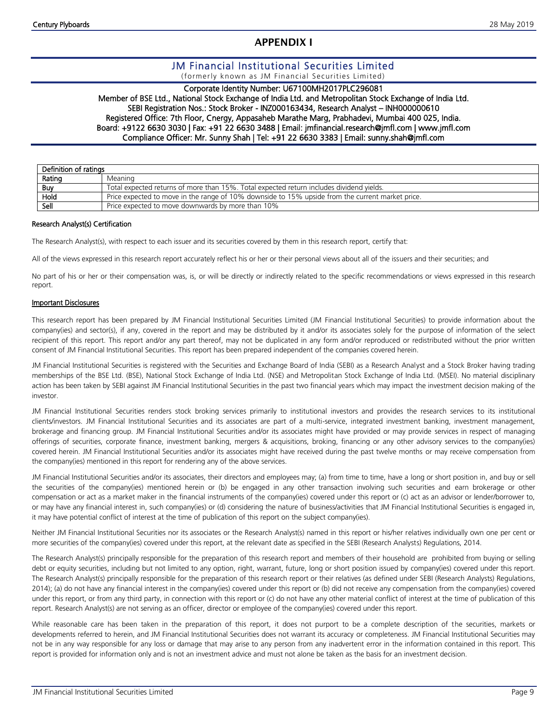# **APPENDIX I**

# JM Financial Institutional Securities Limited

(formerly known as JM Financial Securities Limited)

# Corporate Identity Number: U67100MH2017PLC296081

Member of BSE Ltd., National Stock Exchange of India Ltd. and Metropolitan Stock Exchange of India Ltd. SEBI Registration Nos.: Stock Broker - INZ000163434, Research Analyst – INH000000610 Registered Office: 7th Floor, Cnergy, Appasaheb Marathe Marg, Prabhadevi, Mumbai 400 025, India. Board: +9122 6630 3030 | Fax: +91 22 6630 3488 | Email: jmfinancial.research@jmfl.com | www.jmfl.com Compliance Officer: Mr. Sunny Shah | Tel: +91 22 6630 3383 | Email: sunny.shah@jmfl.com

| Definition of ratings |                                                                                                  |  |  |  |  |
|-----------------------|--------------------------------------------------------------------------------------------------|--|--|--|--|
| Rating                | Meaning                                                                                          |  |  |  |  |
| <b>Buy</b>            | Total expected returns of more than 15%. Total expected return includes dividend yields.         |  |  |  |  |
| Hold                  | Price expected to move in the range of 10% downside to 15% upside from the current market price. |  |  |  |  |
| Sell                  | Price expected to move downwards by more than 10%                                                |  |  |  |  |

#### Research Analyst(s) Certification

The Research Analyst(s), with respect to each issuer and its securities covered by them in this research report, certify that:

All of the views expressed in this research report accurately reflect his or her or their personal views about all of the issuers and their securities; and

No part of his or her or their compensation was, is, or will be directly or indirectly related to the specific recommendations or views expressed in this research report.

#### Important Disclosures

This research report has been prepared by JM Financial Institutional Securities Limited (JM Financial Institutional Securities) to provide information about the company(ies) and sector(s), if any, covered in the report and may be distributed by it and/or its associates solely for the purpose of information of the select recipient of this report. This report and/or any part thereof, may not be duplicated in any form and/or reproduced or redistributed without the prior written consent of JM Financial Institutional Securities. This report has been prepared independent of the companies covered herein.

JM Financial Institutional Securities is registered with the Securities and Exchange Board of India (SEBI) as a Research Analyst and a Stock Broker having trading memberships of the BSE Ltd. (BSE), National Stock Exchange of India Ltd. (NSE) and Metropolitan Stock Exchange of India Ltd. (MSEI). No material disciplinary action has been taken by SEBI against JM Financial Institutional Securities in the past two financial years which may impact the investment decision making of the investor.

JM Financial Institutional Securities renders stock broking services primarily to institutional investors and provides the research services to its institutional clients/investors. JM Financial Institutional Securities and its associates are part of a multi-service, integrated investment banking, investment management, brokerage and financing group. JM Financial Institutional Securities and/or its associates might have provided or may provide services in respect of managing offerings of securities, corporate finance, investment banking, mergers & acquisitions, broking, financing or any other advisory services to the company(ies) covered herein. JM Financial Institutional Securities and/or its associates might have received during the past twelve months or may receive compensation from the company(ies) mentioned in this report for rendering any of the above services.

JM Financial Institutional Securities and/or its associates, their directors and employees may; (a) from time to time, have a long or short position in, and buy or sell the securities of the company(ies) mentioned herein or (b) be engaged in any other transaction involving such securities and earn brokerage or other compensation or act as a market maker in the financial instruments of the company(ies) covered under this report or (c) act as an advisor or lender/borrower to, or may have any financial interest in, such company(ies) or (d) considering the nature of business/activities that JM Financial Institutional Securities is engaged in, it may have potential conflict of interest at the time of publication of this report on the subject company(ies).

Neither JM Financial Institutional Securities nor its associates or the Research Analyst(s) named in this report or his/her relatives individually own one per cent or more securities of the company(ies) covered under this report, at the relevant date as specified in the SEBI (Research Analysts) Regulations, 2014.

The Research Analyst(s) principally responsible for the preparation of this research report and members of their household are prohibited from buying or selling debt or equity securities, including but not limited to any option, right, warrant, future, long or short position issued by company(ies) covered under this report. The Research Analyst(s) principally responsible for the preparation of this research report or their relatives (as defined under SEBI (Research Analysts) Regulations, 2014); (a) do not have any financial interest in the company(ies) covered under this report or (b) did not receive any compensation from the company(ies) covered under this report, or from any third party, in connection with this report or (c) do not have any other material conflict of interest at the time of publication of this report. Research Analyst(s) are not serving as an officer, director or employee of the company(ies) covered under this report.

While reasonable care has been taken in the preparation of this report, it does not purport to be a complete description of the securities, markets or developments referred to herein, and JM Financial Institutional Securities does not warrant its accuracy or completeness. JM Financial Institutional Securities may not be in any way responsible for any loss or damage that may arise to any person from any inadvertent error in the information contained in this report. This report is provided for information only and is not an investment advice and must not alone be taken as the basis for an investment decision.